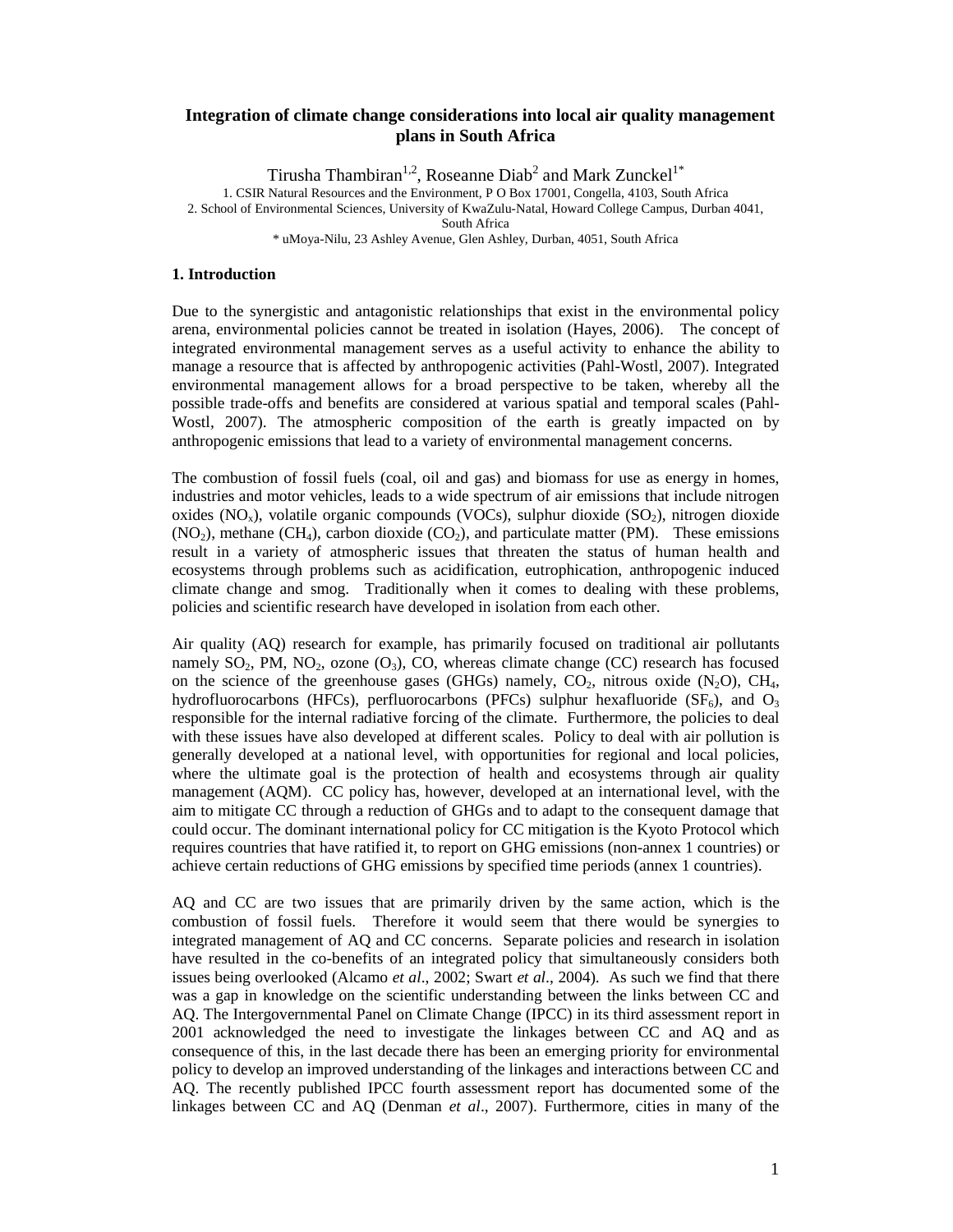# **Integration of climate change considerations into local air quality management plans in South Africa**

Tirusha Thambiran<sup>1,2</sup>, Roseanne Diab<sup>2</sup> and Mark Zunckel<sup>1\*</sup>

1. CSIR Natural Resources and the Environment, P O Box 17001, Congella, 4103, South Africa

2. School of Environmental Sciences, University of KwaZulu-Natal, Howard College Campus, Durban 4041,

South Africa

\* uMoya-Nilu, 23 Ashley Avenue, Glen Ashley, Durban, 4051, South Africa

#### **1. Introduction**

Due to the synergistic and antagonistic relationships that exist in the environmental policy arena, environmental policies cannot be treated in isolation (Hayes, 2006). The concept of integrated environmental management serves as a useful activity to enhance the ability to manage a resource that is affected by anthropogenic activities (Pahl-Wostl, 2007). Integrated environmental management allows for a broad perspective to be taken, whereby all the possible trade-offs and benefits are considered at various spatial and temporal scales (Pahl-Wostl, 2007). The atmospheric composition of the earth is greatly impacted on by anthropogenic emissions that lead to a variety of environmental management concerns.

The combustion of fossil fuels (coal, oil and gas) and biomass for use as energy in homes, industries and motor vehicles, leads to a wide spectrum of air emissions that include nitrogen oxides  $(NO<sub>x</sub>)$ , volatile organic compounds  $(VOCs)$ , sulphur dioxide  $(SO<sub>2</sub>)$ , nitrogen dioxide  $(NO<sub>2</sub>)$ , methane  $(CH<sub>4</sub>)$ , carbon dioxide  $(CO<sub>2</sub>)$ , and particulate matter (PM). These emissions result in a variety of atmospheric issues that threaten the status of human health and ecosystems through problems such as acidification, eutrophication, anthropogenic induced climate change and smog. Traditionally when it comes to dealing with these problems, policies and scientific research have developed in isolation from each other.

Air quality (AQ) research for example, has primarily focused on traditional air pollutants namely  $SO_2$ , PM,  $NO_2$ , ozone  $(O_3)$ , CO, whereas climate change (CC) research has focused on the science of the greenhouse gases (GHGs) namely,  $CO<sub>2</sub>$ , nitrous oxide (N<sub>2</sub>O), CH<sub>4</sub>, hydrofluorocarbons (HFCs), perfluorocarbons (PFCs) sulphur hexafluoride ( $SF<sub>6</sub>$ ), and  $O<sub>3</sub>$ responsible for the internal radiative forcing of the climate. Furthermore, the policies to deal with these issues have also developed at different scales. Policy to deal with air pollution is generally developed at a national level, with opportunities for regional and local policies, where the ultimate goal is the protection of health and ecosystems through air quality management (AQM). CC policy has, however, developed at an international level, with the aim to mitigate CC through a reduction of GHGs and to adapt to the consequent damage that could occur. The dominant international policy for CC mitigation is the Kyoto Protocol which requires countries that have ratified it, to report on GHG emissions (non-annex 1 countries) or achieve certain reductions of GHG emissions by specified time periods (annex 1 countries).

AQ and CC are two issues that are primarily driven by the same action, which is the combustion of fossil fuels. Therefore it would seem that there would be synergies to integrated management of AQ and CC concerns. Separate policies and research in isolation have resulted in the co-benefits of an integrated policy that simultaneously considers both issues being overlooked (Alcamo *et al*., 2002; Swart *et al*., 2004). As such we find that there was a gap in knowledge on the scientific understanding between the links between CC and AQ. The Intergovernmental Panel on Climate Change (IPCC) in its third assessment report in 2001 acknowledged the need to investigate the linkages between CC and AQ and as consequence of this, in the last decade there has been an emerging priority for environmental policy to develop an improved understanding of the linkages and interactions between CC and AQ. The recently published IPCC fourth assessment report has documented some of the linkages between CC and AQ (Denman *et al*., 2007). Furthermore, cities in many of the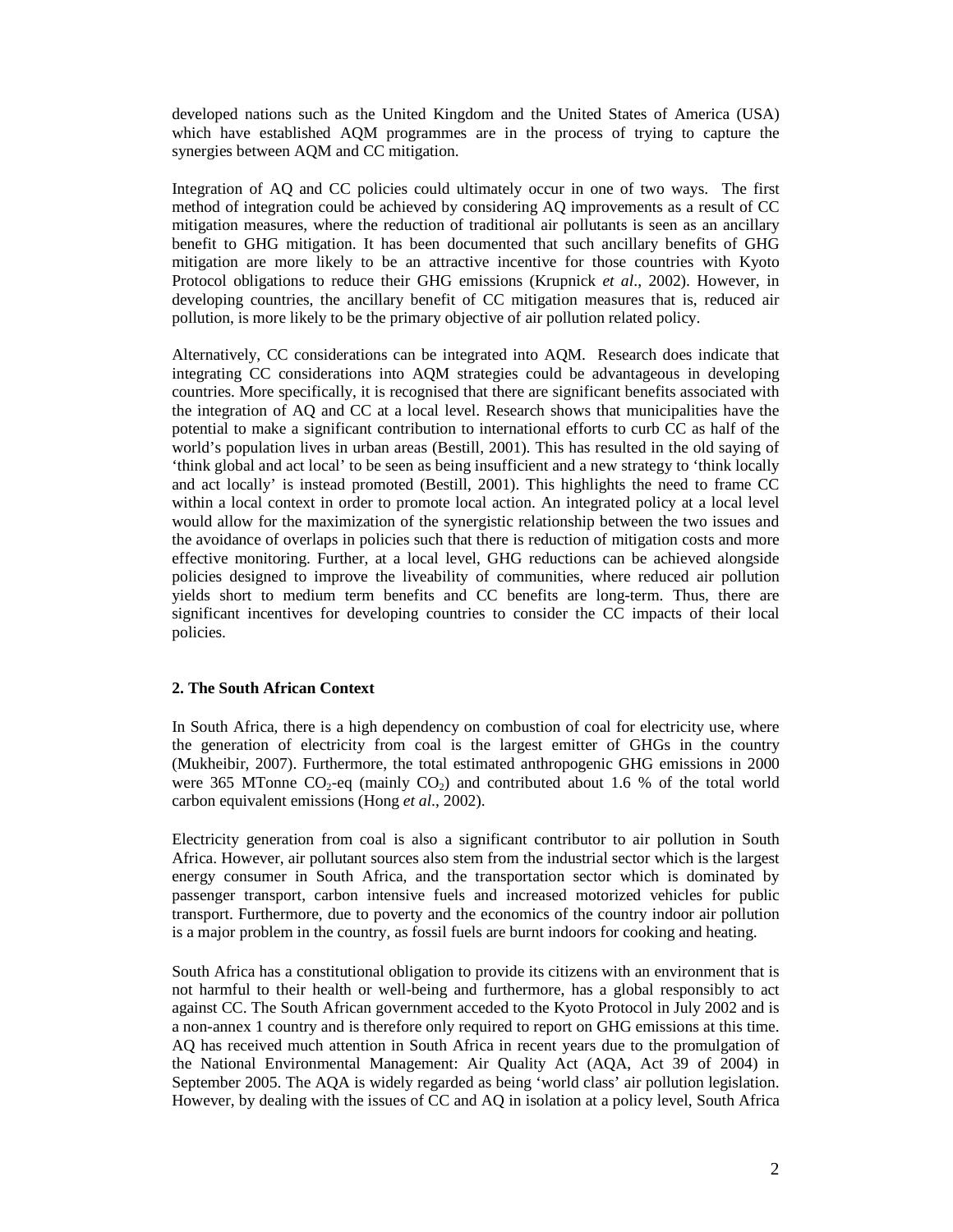developed nations such as the United Kingdom and the United States of America (USA) which have established AQM programmes are in the process of trying to capture the synergies between AQM and CC mitigation.

Integration of AQ and CC policies could ultimately occur in one of two ways. The first method of integration could be achieved by considering AQ improvements as a result of CC mitigation measures, where the reduction of traditional air pollutants is seen as an ancillary benefit to GHG mitigation. It has been documented that such ancillary benefits of GHG mitigation are more likely to be an attractive incentive for those countries with Kyoto Protocol obligations to reduce their GHG emissions (Krupnick *et al*., 2002). However, in developing countries, the ancillary benefit of CC mitigation measures that is, reduced air pollution, is more likely to be the primary objective of air pollution related policy.

Alternatively, CC considerations can be integrated into AQM. Research does indicate that integrating CC considerations into AQM strategies could be advantageous in developing countries. More specifically, it is recognised that there are significant benefits associated with the integration of AQ and CC at a local level. Research shows that municipalities have the potential to make a significant contribution to international efforts to curb CC as half of the world's population lives in urban areas (Bestill, 2001). This has resulted in the old saying of 'think global and act local' to be seen as being insufficient and a new strategy to 'think locally and act locally' is instead promoted (Bestill, 2001). This highlights the need to frame CC within a local context in order to promote local action. An integrated policy at a local level would allow for the maximization of the synergistic relationship between the two issues and the avoidance of overlaps in policies such that there is reduction of mitigation costs and more effective monitoring. Further, at a local level, GHG reductions can be achieved alongside policies designed to improve the liveability of communities, where reduced air pollution yields short to medium term benefits and CC benefits are long-term. Thus, there are significant incentives for developing countries to consider the CC impacts of their local policies.

## **2. The South African Context**

In South Africa, there is a high dependency on combustion of coal for electricity use, where the generation of electricity from coal is the largest emitter of GHGs in the country (Mukheibir, 2007). Furthermore, the total estimated anthropogenic GHG emissions in 2000 were 365 MTonne  $CO_2$ -eq (mainly  $CO_2$ ) and contributed about 1.6 % of the total world carbon equivalent emissions (Hong *et al*., 2002).

Electricity generation from coal is also a significant contributor to air pollution in South Africa. However, air pollutant sources also stem from the industrial sector which is the largest energy consumer in South Africa, and the transportation sector which is dominated by passenger transport, carbon intensive fuels and increased motorized vehicles for public transport. Furthermore, due to poverty and the economics of the country indoor air pollution is a major problem in the country, as fossil fuels are burnt indoors for cooking and heating.

South Africa has a constitutional obligation to provide its citizens with an environment that is not harmful to their health or well-being and furthermore, has a global responsibly to act against CC. The South African government acceded to the Kyoto Protocol in July 2002 and is a non-annex 1 country and is therefore only required to report on GHG emissions at this time. AQ has received much attention in South Africa in recent years due to the promulgation of the National Environmental Management: Air Quality Act (AQA, Act 39 of 2004) in September 2005. The AQA is widely regarded as being 'world class' air pollution legislation. However, by dealing with the issues of CC and AQ in isolation at a policy level, South Africa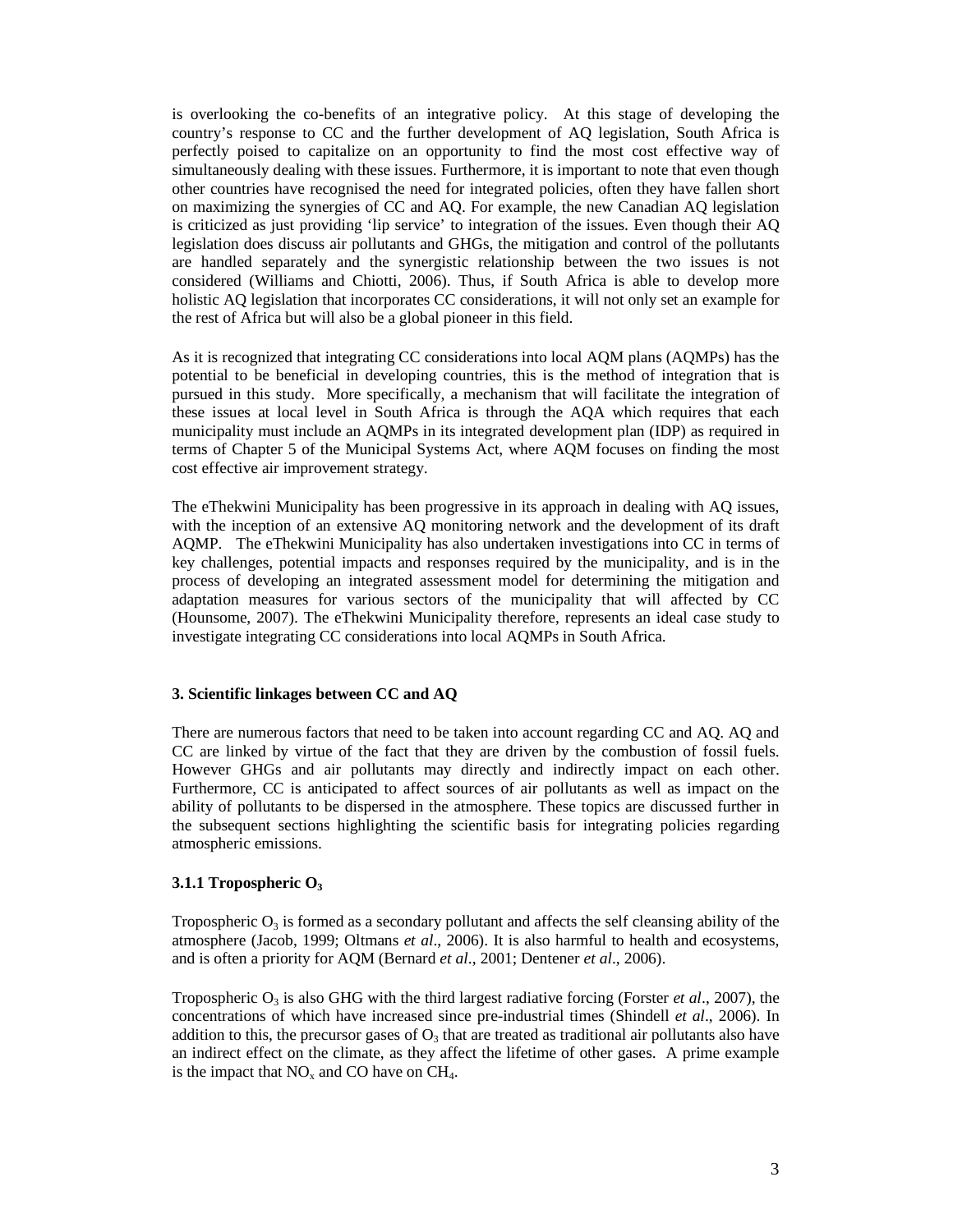is overlooking the co-benefits of an integrative policy. At this stage of developing the country's response to CC and the further development of AQ legislation, South Africa is perfectly poised to capitalize on an opportunity to find the most cost effective way of simultaneously dealing with these issues. Furthermore, it is important to note that even though other countries have recognised the need for integrated policies, often they have fallen short on maximizing the synergies of CC and AQ. For example, the new Canadian AQ legislation is criticized as just providing 'lip service' to integration of the issues. Even though their AQ legislation does discuss air pollutants and GHGs, the mitigation and control of the pollutants are handled separately and the synergistic relationship between the two issues is not considered (Williams and Chiotti, 2006). Thus, if South Africa is able to develop more holistic AQ legislation that incorporates CC considerations, it will not only set an example for the rest of Africa but will also be a global pioneer in this field.

As it is recognized that integrating CC considerations into local AQM plans (AQMPs) has the potential to be beneficial in developing countries, this is the method of integration that is pursued in this study. More specifically, a mechanism that will facilitate the integration of these issues at local level in South Africa is through the AQA which requires that each municipality must include an AQMPs in its integrated development plan (IDP) as required in terms of Chapter 5 of the Municipal Systems Act, where AQM focuses on finding the most cost effective air improvement strategy.

The eThekwini Municipality has been progressive in its approach in dealing with AQ issues, with the inception of an extensive AQ monitoring network and the development of its draft AQMP. The eThekwini Municipality has also undertaken investigations into CC in terms of key challenges, potential impacts and responses required by the municipality, and is in the process of developing an integrated assessment model for determining the mitigation and adaptation measures for various sectors of the municipality that will affected by CC (Hounsome, 2007). The eThekwini Municipality therefore, represents an ideal case study to investigate integrating CC considerations into local AQMPs in South Africa.

## **3. Scientific linkages between CC and AQ**

There are numerous factors that need to be taken into account regarding CC and AQ. AQ and CC are linked by virtue of the fact that they are driven by the combustion of fossil fuels. However GHGs and air pollutants may directly and indirectly impact on each other. Furthermore, CC is anticipated to affect sources of air pollutants as well as impact on the ability of pollutants to be dispersed in the atmosphere. These topics are discussed further in the subsequent sections highlighting the scientific basis for integrating policies regarding atmospheric emissions.

#### **3.1.1 Tropospheric O<sup>3</sup>**

Tropospheric  $O_3$  is formed as a secondary pollutant and affects the self cleansing ability of the atmosphere (Jacob, 1999; Oltmans *et al*., 2006). It is also harmful to health and ecosystems, and is often a priority for AQM (Bernard *et al*., 2001; Dentener *et al*., 2006).

Tropospheric  $O_3$  is also GHG with the third largest radiative forcing (Forster *et al.*, 2007), the concentrations of which have increased since pre-industrial times (Shindell *et al*., 2006). In addition to this, the precursor gases of  $O_3$  that are treated as traditional air pollutants also have an indirect effect on the climate, as they affect the lifetime of other gases. A prime example is the impact that  $NO_x$  and CO have on CH<sub>4</sub>.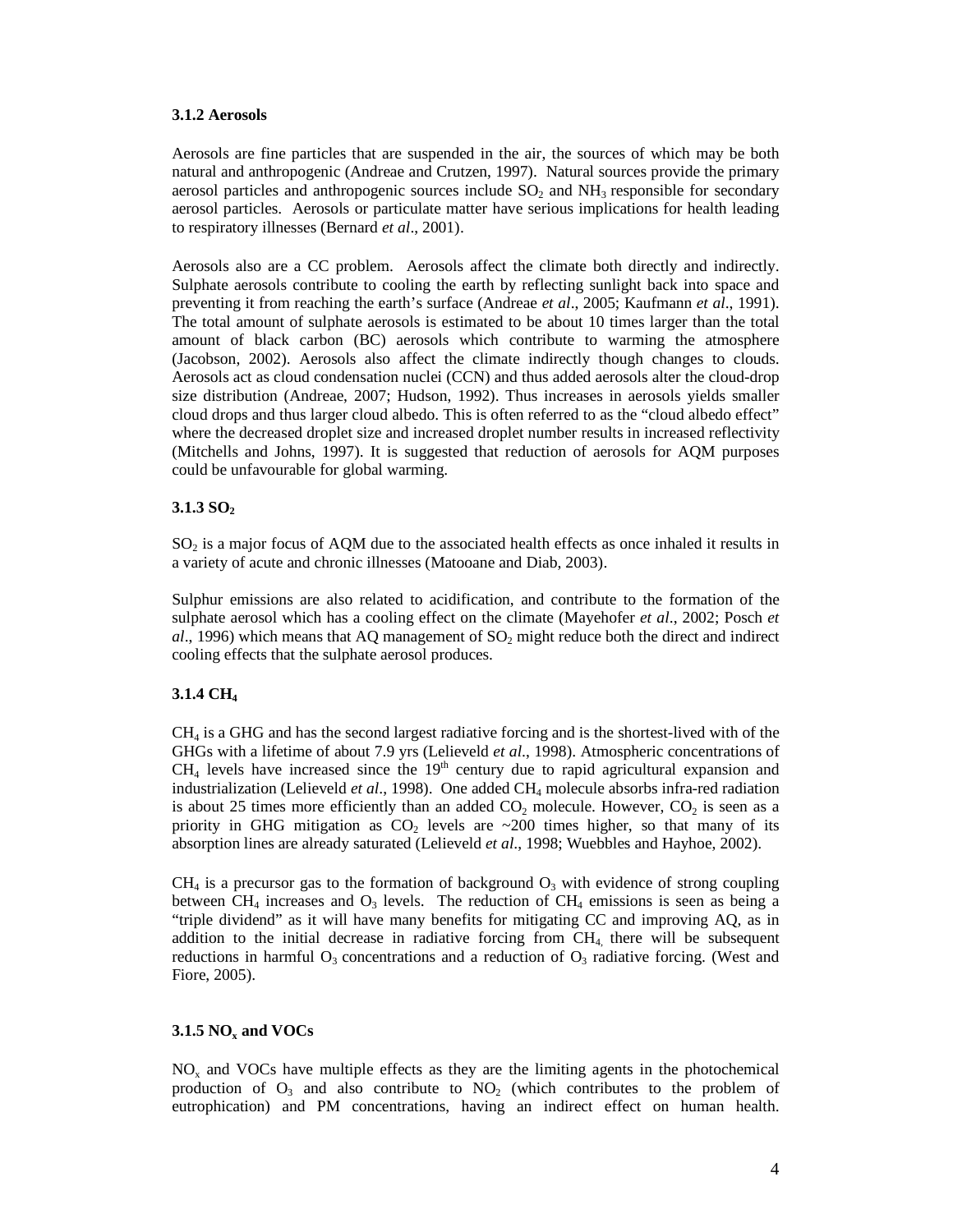### **3.1.2 Aerosols**

Aerosols are fine particles that are suspended in the air, the sources of which may be both natural and anthropogenic (Andreae and Crutzen, 1997). Natural sources provide the primary aerosol particles and anthropogenic sources include  $SO<sub>2</sub>$  and  $NH<sub>3</sub>$  responsible for secondary aerosol particles. Aerosols or particulate matter have serious implications for health leading to respiratory illnesses (Bernard *et al*., 2001).

Aerosols also are a CC problem. Aerosols affect the climate both directly and indirectly. Sulphate aerosols contribute to cooling the earth by reflecting sunlight back into space and preventing it from reaching the earth's surface (Andreae *et al*., 2005; Kaufmann *et al*., 1991). The total amount of sulphate aerosols is estimated to be about 10 times larger than the total amount of black carbon (BC) aerosols which contribute to warming the atmosphere (Jacobson, 2002). Aerosols also affect the climate indirectly though changes to clouds. Aerosols act as cloud condensation nuclei (CCN) and thus added aerosols alter the cloud-drop size distribution (Andreae, 2007; Hudson, 1992). Thus increases in aerosols yields smaller cloud drops and thus larger cloud albedo. This is often referred to as the "cloud albedo effect" where the decreased droplet size and increased droplet number results in increased reflectivity (Mitchells and Johns, 1997). It is suggested that reduction of aerosols for AQM purposes could be unfavourable for global warming.

## **3.1.3 SO<sup>2</sup>**

 $SO<sub>2</sub>$  is a major focus of AQM due to the associated health effects as once inhaled it results in a variety of acute and chronic illnesses (Matooane and Diab, 2003).

Sulphur emissions are also related to acidification, and contribute to the formation of the sulphate aerosol which has a cooling effect on the climate (Mayehofer *et al*., 2002; Posch *et*   $al$ , 1996) which means that AQ management of  $SO<sub>2</sub>$  might reduce both the direct and indirect cooling effects that the sulphate aerosol produces.

# **3.1.4 CH<sup>4</sup>**

CH<sup>4</sup> is a GHG and has the second largest radiative forcing and is the shortest-lived with of the GHGs with a lifetime of about 7.9 yrs (Lelieveld *et al*., 1998). Atmospheric concentrations of  $CH<sub>4</sub>$  levels have increased since the  $19<sup>th</sup>$  century due to rapid agricultural expansion and industrialization (Lelieveld *et al.*, 1998). One added CH<sub>4</sub> molecule absorbs infra-red radiation is about 25 times more efficiently than an added  $CO_2$  molecule. However,  $CO_2$  is seen as a priority in GHG mitigation as  $CO<sub>2</sub>$  levels are  $\sim$  200 times higher, so that many of its absorption lines are already saturated (Lelieveld *et al*., 1998; Wuebbles and Hayhoe, 2002).

 $CH<sub>4</sub>$  is a precursor gas to the formation of background  $O<sub>3</sub>$  with evidence of strong coupling between  $CH_4$  increases and  $O_3$  levels. The reduction of  $CH_4$  emissions is seen as being a "triple dividend" as it will have many benefits for mitigating CC and improving AQ, as in addition to the initial decrease in radiative forcing from  $CH<sub>4</sub>$ , there will be subsequent reductions in harmful  $O_3$  concentrations and a reduction of  $O_3$  radiative forcing. (West and Fiore, 2005).

### **3.1.5 NO<sup>x</sup> and VOCs**

 $NO<sub>x</sub>$  and VOCs have multiple effects as they are the limiting agents in the photochemical production of  $O_3$  and also contribute to  $NO_2$  (which contributes to the problem of eutrophication) and PM concentrations, having an indirect effect on human health.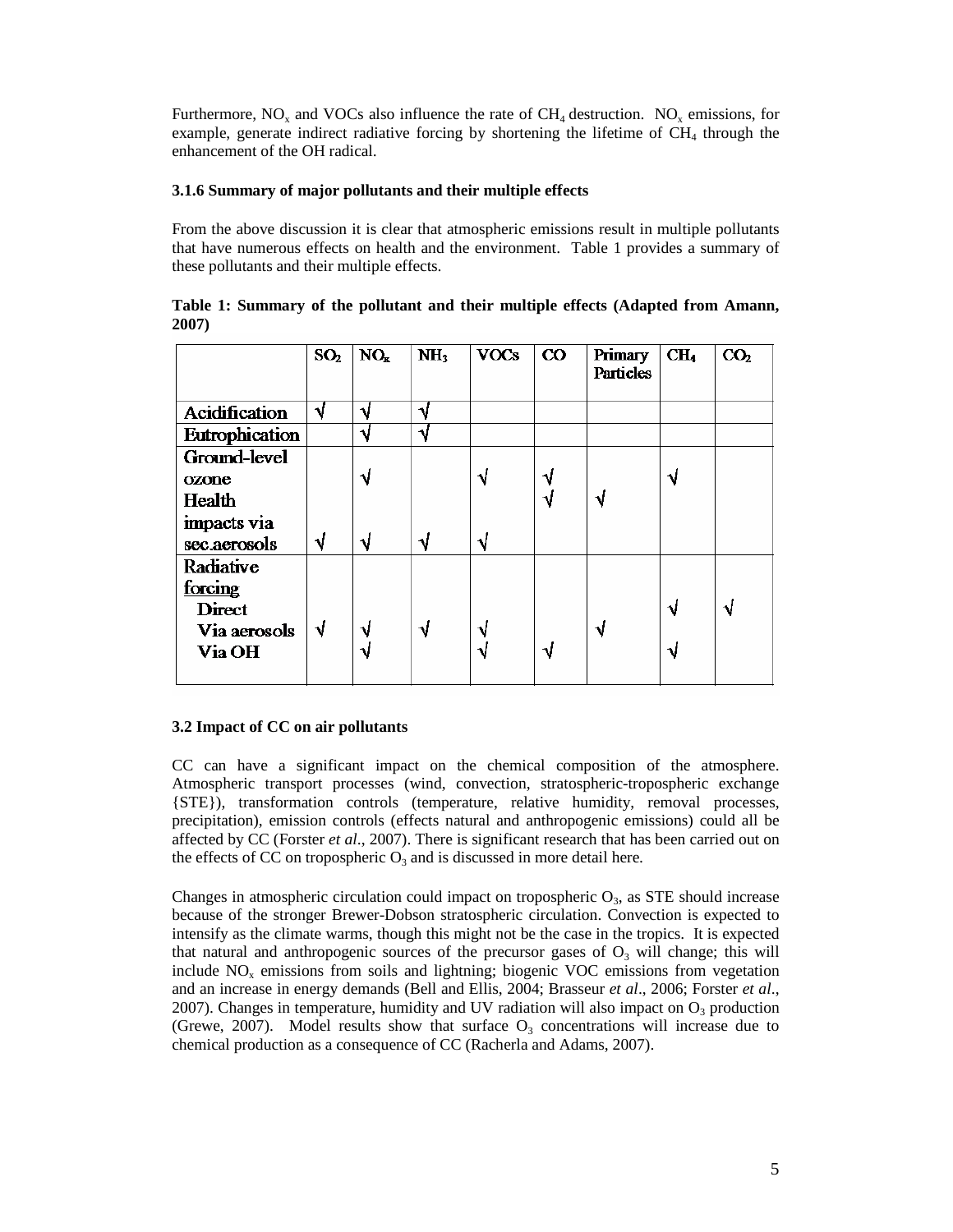Furthermore,  $NO_x$  and VOCs also influence the rate of CH<sub>4</sub> destruction.  $NO_x$  emissions, for example, generate indirect radiative forcing by shortening the lifetime of  $CH<sub>4</sub>$  through the enhancement of the OH radical.

## **3.1.6 Summary of major pollutants and their multiple effects**

From the above discussion it is clear that atmospheric emissions result in multiple pollutants that have numerous effects on health and the environment. Table 1 provides a summary of these pollutants and their multiple effects.

|                                                                 | SO <sub>2</sub> | NO <sub>x</sub> | NH <sub>3</sub> | <b>VOCs</b> | $\rm{CO}$ | <b>Primary</b><br><b>Particles</b> | CH <sub>4</sub> | CO <sub>2</sub> |
|-----------------------------------------------------------------|-----------------|-----------------|-----------------|-------------|-----------|------------------------------------|-----------------|-----------------|
| <b>Acidification</b><br>Eutrophication                          | N               | ۰.<br>N         | ٩.<br>٦.        |             |           |                                    |                 |                 |
| Ground-level<br>ozone<br>Health                                 |                 | N               |                 | N           | N<br>N    |                                    | N               |                 |
| impacts via<br>sec.aerosols                                     | √               | ٦J              | N               | ٦J          |           |                                    |                 |                 |
| Radiative<br>forcing<br><b>Direct</b><br>Via aerosols<br>Via OH | √               | N               | √               | ٧<br>N      | N         |                                    | N<br>N          |                 |

**Table 1: Summary of the pollutant and their multiple effects (Adapted from Amann, 2007)**

# **3.2 Impact of CC on air pollutants**

CC can have a significant impact on the chemical composition of the atmosphere. Atmospheric transport processes (wind, convection, stratospheric-tropospheric exchange {STE}), transformation controls (temperature, relative humidity, removal processes, precipitation), emission controls (effects natural and anthropogenic emissions) could all be affected by CC (Forster *et al*., 2007). There is significant research that has been carried out on the effects of CC on tropospheric  $O_3$  and is discussed in more detail here.

Changes in atmospheric circulation could impact on tropospheric  $O_3$ , as STE should increase because of the stronger Brewer-Dobson stratospheric circulation. Convection is expected to intensify as the climate warms, though this might not be the case in the tropics. It is expected that natural and anthropogenic sources of the precursor gases of  $O<sub>3</sub>$  will change; this will include  $NO<sub>x</sub>$  emissions from soils and lightning; biogenic VOC emissions from vegetation and an increase in energy demands (Bell and Ellis, 2004; Brasseur *et al*., 2006; Forster *et al*., 2007). Changes in temperature, humidity and UV radiation will also impact on  $O_3$  production (Grewe, 2007). Model results show that surface  $O_3$  concentrations will increase due to chemical production as a consequence of CC (Racherla and Adams, 2007).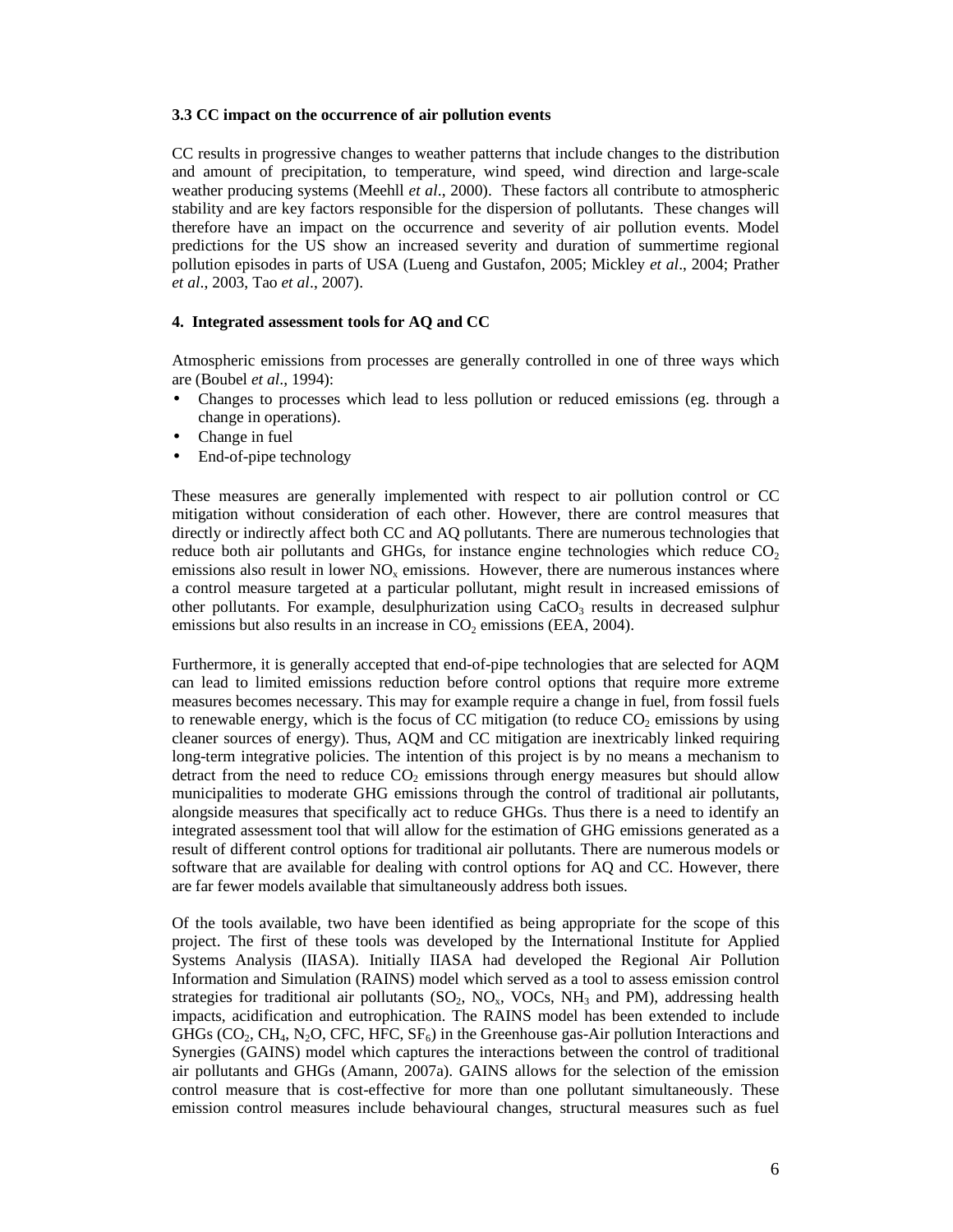### **3.3 CC impact on the occurrence of air pollution events**

CC results in progressive changes to weather patterns that include changes to the distribution and amount of precipitation, to temperature, wind speed, wind direction and large-scale weather producing systems (Meehll *et al*., 2000). These factors all contribute to atmospheric stability and are key factors responsible for the dispersion of pollutants. These changes will therefore have an impact on the occurrence and severity of air pollution events. Model predictions for the US show an increased severity and duration of summertime regional pollution episodes in parts of USA (Lueng and Gustafon, 2005; Mickley *et al*., 2004; Prather *et al*., 2003, Tao *et al*., 2007).

#### **4. Integrated assessment tools for AQ and CC**

Atmospheric emissions from processes are generally controlled in one of three ways which are (Boubel *et al*., 1994):

- Changes to processes which lead to less pollution or reduced emissions (eg. through a change in operations).
- Change in fuel
- End-of-pipe technology

These measures are generally implemented with respect to air pollution control or CC mitigation without consideration of each other. However, there are control measures that directly or indirectly affect both CC and AQ pollutants. There are numerous technologies that reduce both air pollutants and GHGs, for instance engine technologies which reduce  $CO<sub>2</sub>$ emissions also result in lower  $NO<sub>x</sub>$  emissions. However, there are numerous instances where a control measure targeted at a particular pollutant, might result in increased emissions of other pollutants. For example, desulphurization using  $CaCO<sub>3</sub>$  results in decreased sulphur emissions but also results in an increase in  $CO<sub>2</sub>$  emissions (EEA, 2004).

Furthermore, it is generally accepted that end-of-pipe technologies that are selected for AQM can lead to limited emissions reduction before control options that require more extreme measures becomes necessary. This may for example require a change in fuel, from fossil fuels to renewable energy, which is the focus of CC mitigation (to reduce  $CO<sub>2</sub>$  emissions by using cleaner sources of energy). Thus, AQM and CC mitigation are inextricably linked requiring long-term integrative policies. The intention of this project is by no means a mechanism to detract from the need to reduce  $CO<sub>2</sub>$  emissions through energy measures but should allow municipalities to moderate GHG emissions through the control of traditional air pollutants, alongside measures that specifically act to reduce GHGs. Thus there is a need to identify an integrated assessment tool that will allow for the estimation of GHG emissions generated as a result of different control options for traditional air pollutants. There are numerous models or software that are available for dealing with control options for AQ and CC. However, there are far fewer models available that simultaneously address both issues.

Of the tools available, two have been identified as being appropriate for the scope of this project. The first of these tools was developed by the International Institute for Applied Systems Analysis (IIASA). Initially IIASA had developed the Regional Air Pollution Information and Simulation (RAINS) model which served as a tool to assess emission control strategies for traditional air pollutants  $(SO_2, NO_x, VOCs, NH_3$  and PM), addressing health impacts, acidification and eutrophication. The RAINS model has been extended to include GHGs ( $CO_2$ , CH<sub>4</sub>, N<sub>2</sub>O, CFC, HFC,  $SF_6$ ) in the Greenhouse gas-Air pollution Interactions and Synergies (GAINS) model which captures the interactions between the control of traditional air pollutants and GHGs (Amann, 2007a). GAINS allows for the selection of the emission control measure that is cost-effective for more than one pollutant simultaneously. These emission control measures include behavioural changes, structural measures such as fuel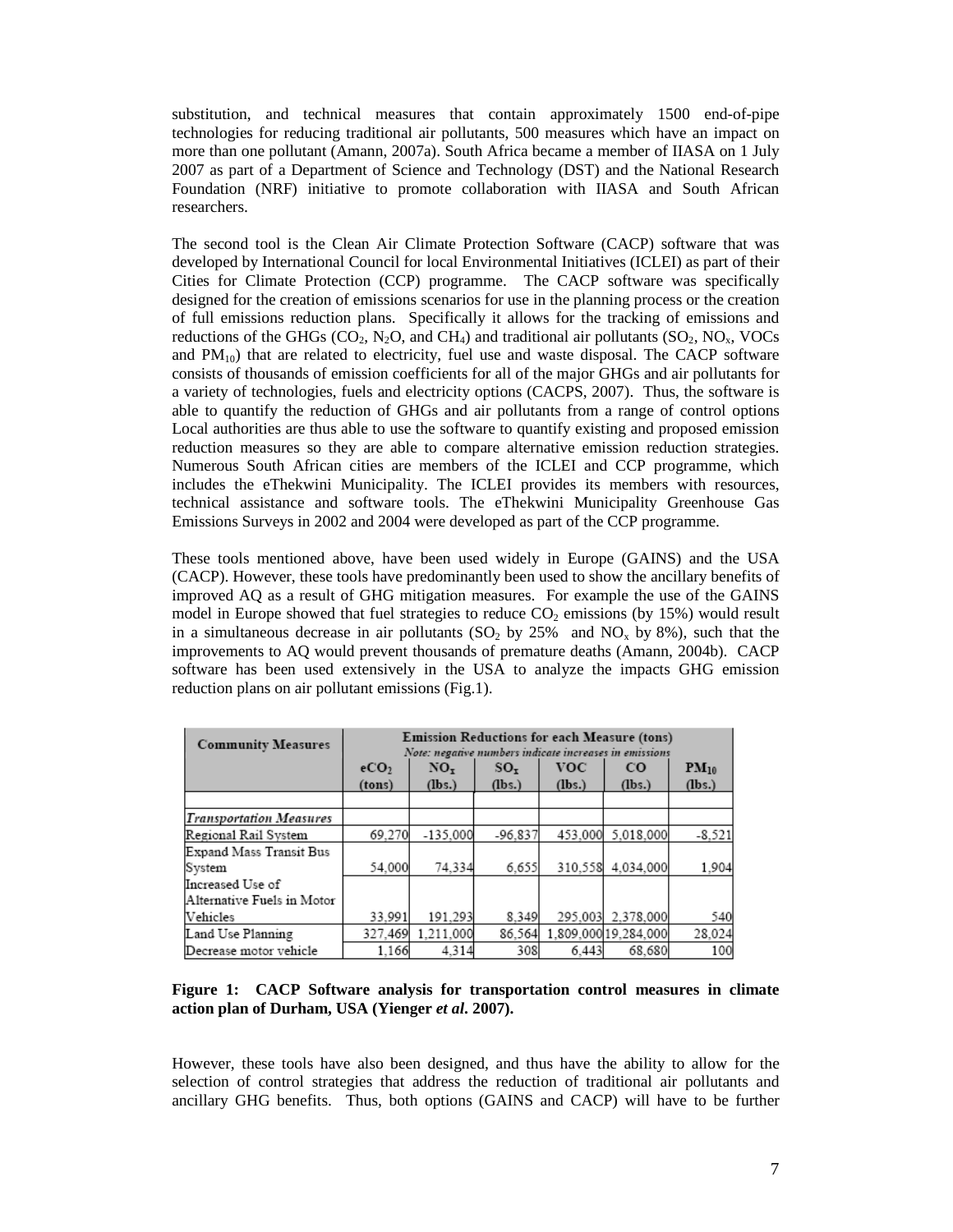substitution, and technical measures that contain approximately 1500 end-of-pipe technologies for reducing traditional air pollutants, 500 measures which have an impact on more than one pollutant (Amann, 2007a). South Africa became a member of IIASA on 1 July 2007 as part of a Department of Science and Technology (DST) and the National Research Foundation (NRF) initiative to promote collaboration with IIASA and South African researchers.

The second tool is the Clean Air Climate Protection Software (CACP) software that was developed by International Council for local Environmental Initiatives (ICLEI) as part of their Cities for Climate Protection (CCP) programme. The CACP software was specifically designed for the creation of emissions scenarios for use in the planning process or the creation of full emissions reduction plans. Specifically it allows for the tracking of emissions and reductions of the GHGs (CO<sub>2</sub>, N<sub>2</sub>O, and CH<sub>4</sub>) and traditional air pollutants (SO<sub>2</sub>, NO<sub>x</sub>, VOCs and  $PM_{10}$ ) that are related to electricity, fuel use and waste disposal. The CACP software consists of thousands of emission coefficients for all of the major GHGs and air pollutants for a variety of technologies, fuels and electricity options (CACPS, 2007). Thus, the software is able to quantify the reduction of GHGs and air pollutants from a range of control options Local authorities are thus able to use the software to quantify existing and proposed emission reduction measures so they are able to compare alternative emission reduction strategies. Numerous South African cities are members of the ICLEI and CCP programme, which includes the eThekwini Municipality. The ICLEI provides its members with resources, technical assistance and software tools. The eThekwini Municipality Greenhouse Gas Emissions Surveys in 2002 and 2004 were developed as part of the CCP programme.

These tools mentioned above, have been used widely in Europe (GAINS) and the USA (CACP). However, these tools have predominantly been used to show the ancillary benefits of improved AQ as a result of GHG mitigation measures. For example the use of the GAINS model in Europe showed that fuel strategies to reduce  $CO<sub>2</sub>$  emissions (by 15%) would result in a simultaneous decrease in air pollutants  $(SO_2$  by 25% and  $NO_x$  by 8%), such that the improvements to AQ would prevent thousands of premature deaths (Amann, 2004b). CACP software has been used extensively in the USA to analyze the impacts GHG emission reduction plans on air pollutant emissions (Fig.1).

| <b>Community Measures</b>      | <b>Emission Reductions for each Measure (tons)</b><br>Note: negative numbers indicate increases in emissions |                           |                       |                      |                       |                     |  |
|--------------------------------|--------------------------------------------------------------------------------------------------------------|---------------------------|-----------------------|----------------------|-----------------------|---------------------|--|
|                                | eCO <sub>2</sub><br>(tons)                                                                                   | NO <sub>r</sub><br>(lbs.) | $SO_{\tau}$<br>(lbs.) | <b>VOC</b><br>(lbs.) | $_{\rm CO}$<br>(lbs.) | $PM_{10}$<br>(lbs.) |  |
|                                |                                                                                                              |                           |                       |                      |                       |                     |  |
| <b>Transportation Measures</b> |                                                                                                              |                           |                       |                      |                       |                     |  |
| Regional Rail System           | 69,270                                                                                                       | $-135.000$                | $-96.837$             | 453,000              | 5,018,000             | $-8.521$            |  |
| Expand Mass Transit Bus        |                                                                                                              |                           |                       |                      |                       |                     |  |
| System                         | 54,000                                                                                                       | 74,334                    | 6.655                 | 310,558              | 4.034.000             | 1.904               |  |
| Increased Use of               |                                                                                                              |                           |                       |                      |                       |                     |  |
| Alternative Fuels in Motor     |                                                                                                              |                           |                       |                      |                       |                     |  |
| Vehicles                       | 33.991                                                                                                       | 191,293                   | 8.349                 | 295,003              | 2,378,000             | 540                 |  |
| Land Use Planning              | 327,469                                                                                                      | 1.211.000                 | 86.564                |                      | 1,809,000 19,284,000  | 28,024              |  |
| Decrease motor vehicle         | 1.166                                                                                                        | 4,314                     | 308                   | 6.443                | 68,680                | 100                 |  |

**Figure 1: CACP Software analysis for transportation control measures in climate action plan of Durham, USA (Yienger** *et al***. 2007).** 

However, these tools have also been designed, and thus have the ability to allow for the selection of control strategies that address the reduction of traditional air pollutants and ancillary GHG benefits. Thus, both options (GAINS and CACP) will have to be further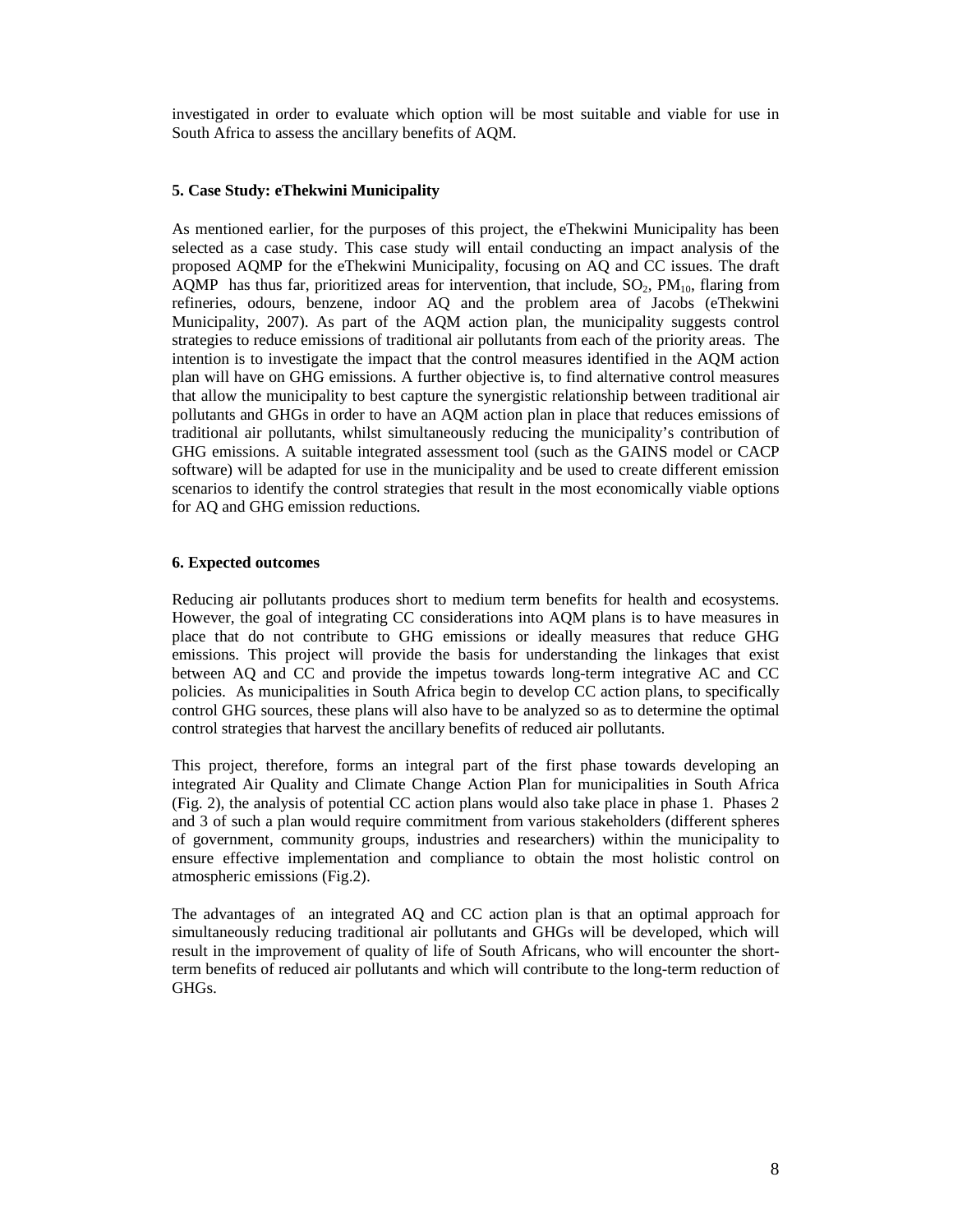investigated in order to evaluate which option will be most suitable and viable for use in South Africa to assess the ancillary benefits of AQM.

### **5. Case Study: eThekwini Municipality**

As mentioned earlier, for the purposes of this project, the eThekwini Municipality has been selected as a case study. This case study will entail conducting an impact analysis of the proposed AQMP for the eThekwini Municipality, focusing on AQ and CC issues. The draft AQMP has thus far, prioritized areas for intervention, that include,  $SO_2$ ,  $PM_{10}$ , flaring from refineries, odours, benzene, indoor AQ and the problem area of Jacobs (eThekwini Municipality, 2007). As part of the AQM action plan, the municipality suggests control strategies to reduce emissions of traditional air pollutants from each of the priority areas. The intention is to investigate the impact that the control measures identified in the AQM action plan will have on GHG emissions. A further objective is, to find alternative control measures that allow the municipality to best capture the synergistic relationship between traditional air pollutants and GHGs in order to have an AQM action plan in place that reduces emissions of traditional air pollutants, whilst simultaneously reducing the municipality's contribution of GHG emissions. A suitable integrated assessment tool (such as the GAINS model or CACP software) will be adapted for use in the municipality and be used to create different emission scenarios to identify the control strategies that result in the most economically viable options for AQ and GHG emission reductions.

### **6. Expected outcomes**

Reducing air pollutants produces short to medium term benefits for health and ecosystems. However, the goal of integrating CC considerations into AQM plans is to have measures in place that do not contribute to GHG emissions or ideally measures that reduce GHG emissions. This project will provide the basis for understanding the linkages that exist between AQ and CC and provide the impetus towards long-term integrative AC and CC policies. As municipalities in South Africa begin to develop CC action plans, to specifically control GHG sources, these plans will also have to be analyzed so as to determine the optimal control strategies that harvest the ancillary benefits of reduced air pollutants.

This project, therefore, forms an integral part of the first phase towards developing an integrated Air Quality and Climate Change Action Plan for municipalities in South Africa (Fig. 2), the analysis of potential CC action plans would also take place in phase 1. Phases 2 and 3 of such a plan would require commitment from various stakeholders (different spheres of government, community groups, industries and researchers) within the municipality to ensure effective implementation and compliance to obtain the most holistic control on atmospheric emissions (Fig.2).

The advantages of an integrated AQ and CC action plan is that an optimal approach for simultaneously reducing traditional air pollutants and GHGs will be developed, which will result in the improvement of quality of life of South Africans, who will encounter the shortterm benefits of reduced air pollutants and which will contribute to the long-term reduction of GHGs.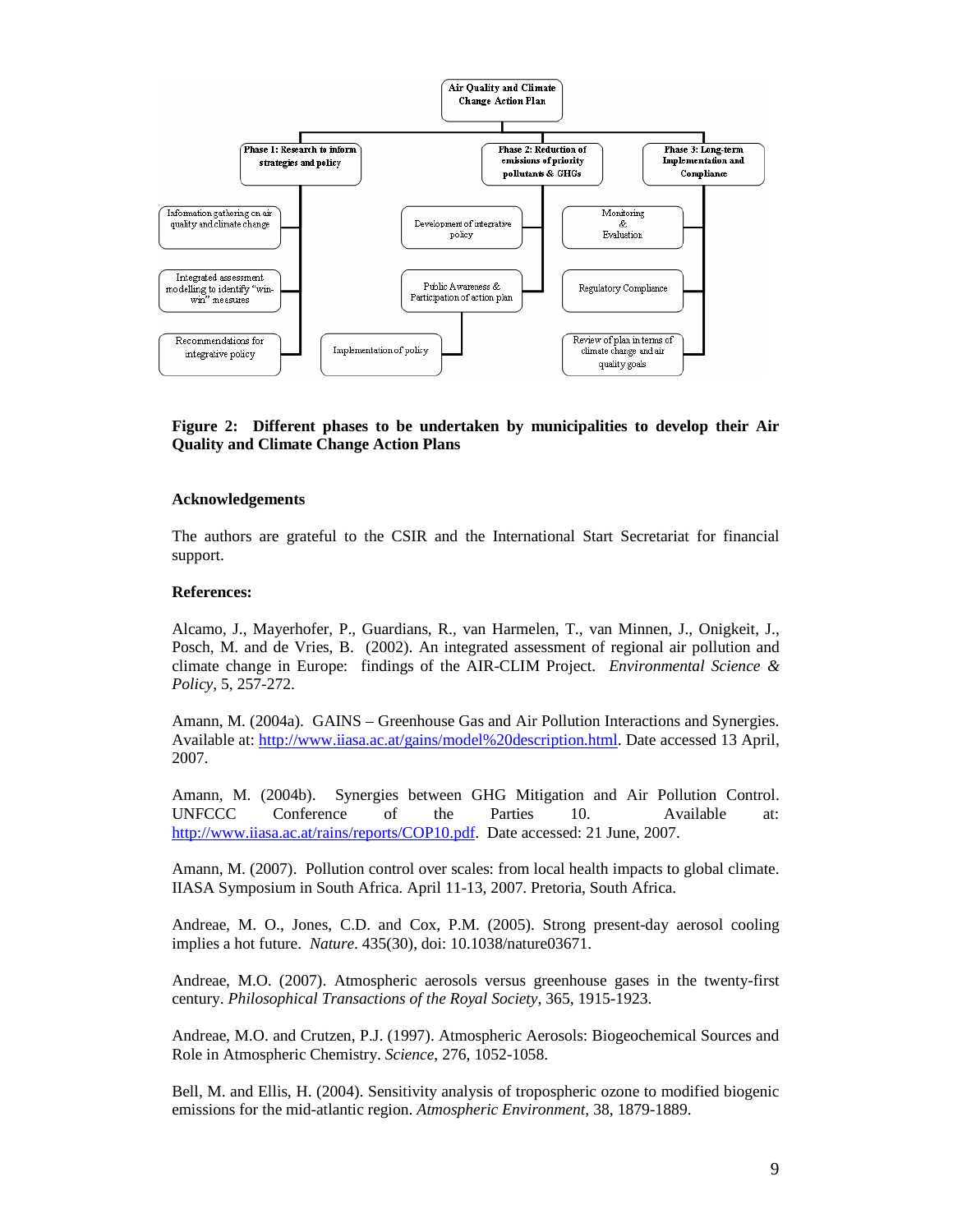

## **Figure 2: Different phases to be undertaken by municipalities to develop their Air Quality and Climate Change Action Plans**

### **Acknowledgements**

The authors are grateful to the CSIR and the International Start Secretariat for financial support.

### **References:**

Alcamo, J., Mayerhofer, P., Guardians, R., van Harmelen, T., van Minnen, J., Onigkeit, J., Posch, M. and de Vries, B. (2002). An integrated assessment of regional air pollution and climate change in Europe: findings of the AIR-CLIM Project. *Environmental Science & Policy*, 5, 257-272.

Amann, M. (2004a). GAINS – Greenhouse Gas and Air Pollution Interactions and Synergies. Available at: http://www.iiasa.ac.at/gains/model%20description.html. Date accessed 13 April, 2007.

Amann, M. (2004b). Synergies between GHG Mitigation and Air Pollution Control. UNFCCC Conference of the Parties 10. Available at: http://www.iiasa.ac.at/rains/reports/COP10.pdf. Date accessed: 21 June, 2007.

Amann, M. (2007). Pollution control over scales: from local health impacts to global climate. IIASA Symposium in South Africa. April 11-13, 2007. Pretoria, South Africa.

Andreae, M. O., Jones, C.D. and Cox, P.M. (2005). Strong present-day aerosol cooling implies a hot future. *Nature*. 435(30), doi: 10.1038/nature03671.

Andreae, M.O. (2007). Atmospheric aerosols versus greenhouse gases in the twenty-first century. *Philosophical Transactions of the Royal Society*, 365, 1915-1923.

Andreae, M.O. and Crutzen, P.J. (1997). Atmospheric Aerosols: Biogeochemical Sources and Role in Atmospheric Chemistry. *Science*, 276, 1052-1058.

Bell, M. and Ellis, H. (2004). Sensitivity analysis of tropospheric ozone to modified biogenic emissions for the mid-atlantic region. *Atmospheric Environment*, 38, 1879-1889.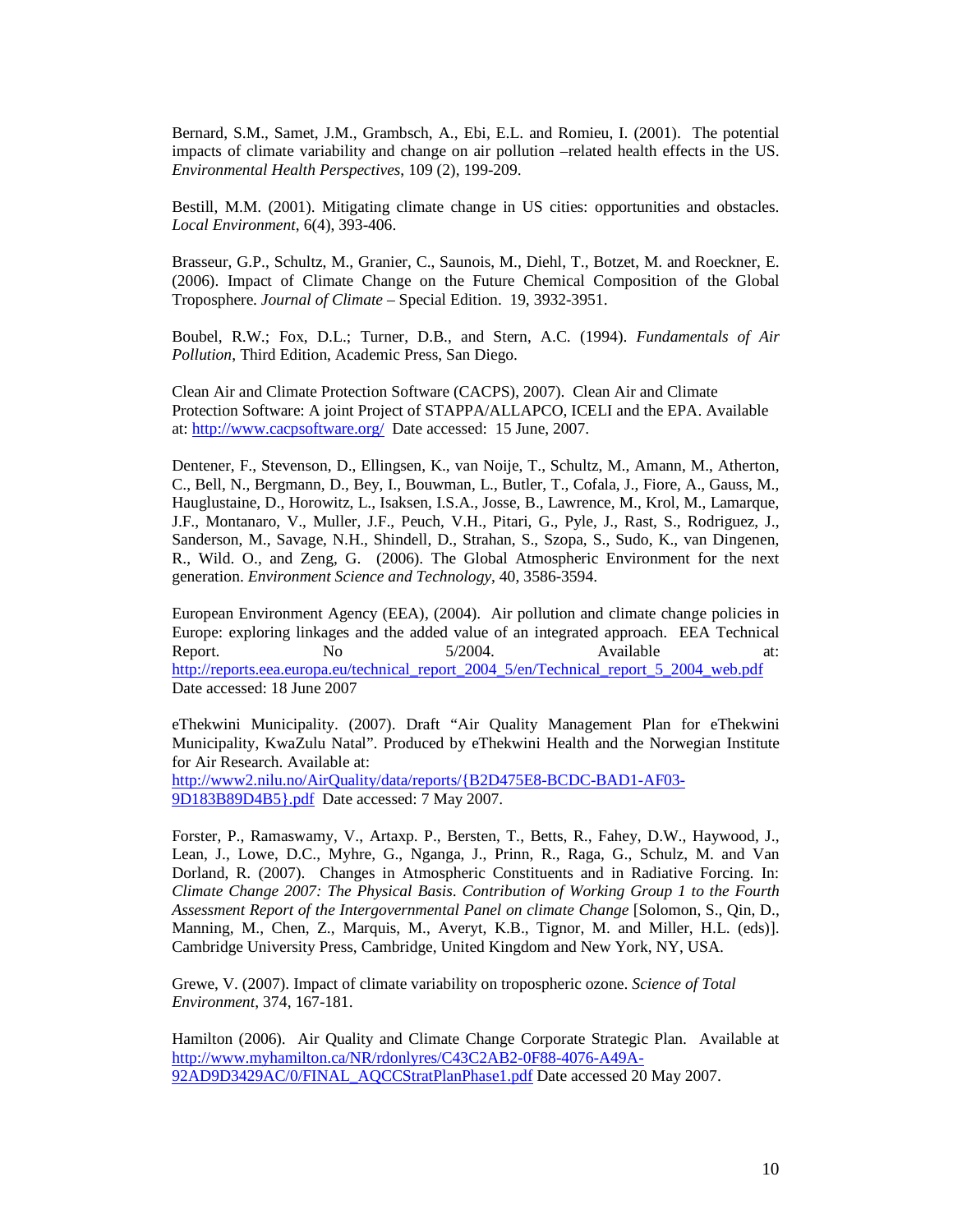Bernard, S.M., Samet, J.M., Grambsch, A., Ebi, E.L. and Romieu, I. (2001). The potential impacts of climate variability and change on air pollution –related health effects in the US. *Environmental Health Perspectives*, 109 (2), 199-209.

Bestill, M.M. (2001). Mitigating climate change in US cities: opportunities and obstacles. *Local Environment*, 6(4), 393-406.

Brasseur, G.P., Schultz, M., Granier, C., Saunois, M., Diehl, T., Botzet, M. and Roeckner, E. (2006). Impact of Climate Change on the Future Chemical Composition of the Global Troposphere. *Journal of Climate* – Special Edition. 19, 3932-3951.

Boubel, R.W.; Fox, D.L.; Turner, D.B., and Stern, A.C. (1994). *Fundamentals of Air Pollution*, Third Edition, Academic Press, San Diego.

Clean Air and Climate Protection Software (CACPS), 2007). Clean Air and Climate Protection Software: A joint Project of STAPPA/ALLAPCO, ICELI and the EPA. Available at: http://www.cacpsoftware.org/ Date accessed: 15 June, 2007.

Dentener, F., Stevenson, D., Ellingsen, K., van Noije, T., Schultz, M., Amann, M., Atherton, C., Bell, N., Bergmann, D., Bey, I., Bouwman, L., Butler, T., Cofala, J., Fiore, A., Gauss, M., Hauglustaine, D., Horowitz, L., Isaksen, I.S.A., Josse, B., Lawrence, M., Krol, M., Lamarque, J.F., Montanaro, V., Muller, J.F., Peuch, V.H., Pitari, G., Pyle, J., Rast, S., Rodriguez, J., Sanderson, M., Savage, N.H., Shindell, D., Strahan, S., Szopa, S., Sudo, K., van Dingenen, R., Wild. O., and Zeng, G. (2006). The Global Atmospheric Environment for the next generation. *Environment Science and Technology*, 40, 3586-3594.

European Environment Agency (EEA), (2004). Air pollution and climate change policies in Europe: exploring linkages and the added value of an integrated approach. EEA Technical Report. No  $5/2004$ . Available at: http://reports.eea.europa.eu/technical\_report\_2004\_5/en/Technical\_report\_5\_2004\_web.pdf Date accessed: 18 June 2007

eThekwini Municipality. (2007). Draft "Air Quality Management Plan for eThekwini Municipality, KwaZulu Natal". Produced by eThekwini Health and the Norwegian Institute for Air Research. Available at:

http://www2.nilu.no/AirQuality/data/reports/{B2D475E8-BCDC-BAD1-AF03- 9D183B89D4B5}.pdf Date accessed: 7 May 2007.

Forster, P., Ramaswamy, V., Artaxp. P., Bersten, T., Betts, R., Fahey, D.W., Haywood, J., Lean, J., Lowe, D.C., Myhre, G., Nganga, J., Prinn, R., Raga, G., Schulz, M. and Van Dorland, R. (2007). Changes in Atmospheric Constituents and in Radiative Forcing. In: *Climate Change 2007: The Physical Basis*. *Contribution of Working Group 1 to the Fourth Assessment Report of the Intergovernmental Panel on climate Change* [Solomon, S., Qin, D., Manning, M., Chen, Z., Marquis, M., Averyt, K.B., Tignor, M. and Miller, H.L. (eds)]. Cambridge University Press, Cambridge, United Kingdom and New York, NY, USA.

Grewe, V. (2007). Impact of climate variability on tropospheric ozone. *Science of Total Environment*, 374, 167-181.

Hamilton (2006). Air Quality and Climate Change Corporate Strategic Plan. Available at http://www.myhamilton.ca/NR/rdonlyres/C43C2AB2-0F88-4076-A49A-92AD9D3429AC/0/FINAL\_AQCCStratPlanPhase1.pdf Date accessed 20 May 2007.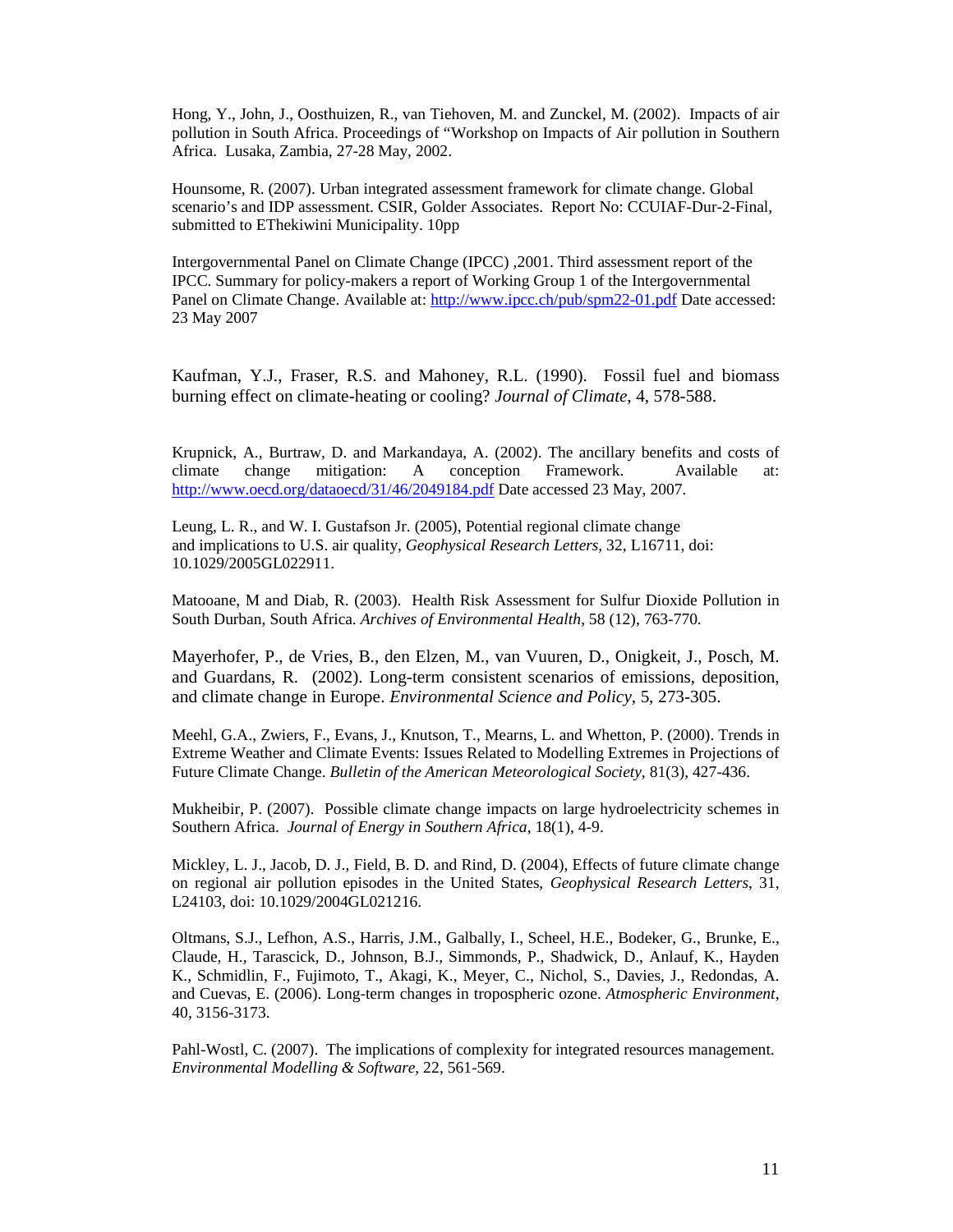Hong, Y., John, J., Oosthuizen, R., van Tiehoven, M. and Zunckel, M. (2002). Impacts of air pollution in South Africa. Proceedings of "Workshop on Impacts of Air pollution in Southern Africa. Lusaka, Zambia, 27-28 May, 2002.

Hounsome, R. (2007). Urban integrated assessment framework for climate change. Global scenario's and IDP assessment. CSIR, Golder Associates. Report No: CCUIAF-Dur-2-Final, submitted to EThekiwini Municipality. 10pp

Intergovernmental Panel on Climate Change (IPCC) ,2001. Third assessment report of the IPCC. Summary for policy-makers a report of Working Group 1 of the Intergovernmental Panel on Climate Change. Available at: http://www.ipcc.ch/pub/spm22-01.pdf Date accessed: 23 May 2007

Kaufman, Y.J., Fraser, R.S. and Mahoney, R.L. (1990). Fossil fuel and biomass burning effect on climate-heating or cooling? *Journal of Climate*, 4, 578-588.

Krupnick, A., Burtraw, D. and Markandaya, A. (2002). The ancillary benefits and costs of climate change mitigation: A conception Framework. Available at: http://www.oecd.org/dataoecd/31/46/2049184.pdf Date accessed 23 May, 2007.

Leung, L. R., and W. I. Gustafson Jr. (2005), Potential regional climate change and implications to U.S. air quality, *Geophysical Research Letters*, 32, L16711, doi: 10.1029/2005GL022911.

Matooane, M and Diab, R. (2003). Health Risk Assessment for Sulfur Dioxide Pollution in South Durban, South Africa. *Archives of Environmental Health*, 58 (12), 763-770.

Mayerhofer, P., de Vries, B., den Elzen, M., van Vuuren, D., Onigkeit, J., Posch, M. and Guardans, R. (2002). Long-term consistent scenarios of emissions, deposition, and climate change in Europe. *Environmental Science and Policy*, 5, 273-305.

Meehl, G.A., Zwiers, F., Evans, J., Knutson, T., Mearns, L. and Whetton, P. (2000). Trends in Extreme Weather and Climate Events: Issues Related to Modelling Extremes in Projections of Future Climate Change. *Bulletin of the American Meteorological Society*, 81(3), 427-436.

Mukheibir, P. (2007). Possible climate change impacts on large hydroelectricity schemes in Southern Africa. *Journal of Energy in Southern Africa*, 18(1), 4-9.

Mickley, L. J., Jacob, D. J., Field, B. D. and Rind, D. (2004), Effects of future climate change on regional air pollution episodes in the United States, *Geophysical Research Letters*, 31, L24103, doi: 10.1029/2004GL021216.

Oltmans, S.J., Lefhon, A.S., Harris, J.M., Galbally, I., Scheel, H.E., Bodeker, G., Brunke, E., Claude, H., Tarascick, D., Johnson, B.J., Simmonds, P., Shadwick, D., Anlauf, K., Hayden K., Schmidlin, F., Fujimoto, T., Akagi, K., Meyer, C., Nichol, S., Davies, J., Redondas, A. and Cuevas, E. (2006). Long-term changes in tropospheric ozone. *Atmospheric Environment*, 40, 3156-3173.

Pahl-Wostl, C. (2007). The implications of complexity for integrated resources management. *Environmental Modelling & Software*, 22, 561-569.